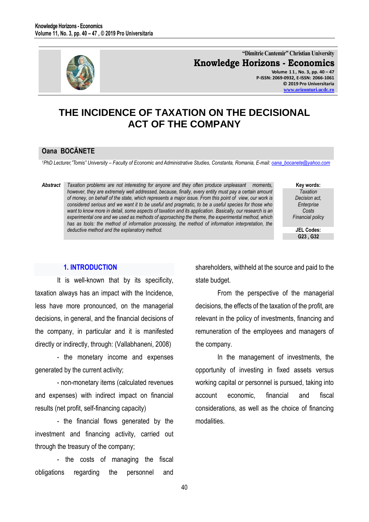

**"Dimitrie Cantemir" Christian University Knowledge Horizons - Economics Volume 1 1 , No. 3, pp. 40 – 47 P-ISSN: 2069-0932, E-ISSN: 2066-1061 © 2019 Pro Universitaria [www.orizonturi.ucdc.ro](http://www.orizonturi.ucdc.ro/)**

# **THE INCIDENCE OF TAXATION ON THE DECISIONAL ACT OF THE COMPANY**

#### **Oana BOCĂNETE**

*<sup>1</sup>PhD Lecturer,"Tomis" University – Faculty of Economic and Administrative Studies, Constanta, Romania, E-mail: [oana\\_bocanete@yahoo.com](mailto:oana_bocanete@yahoo.com)*

*Abstract Taxation problems are not interesting for anyone and they often produce unpleasant moments, however, they are extremely well addressed, because, finally, every entity must pay a certain amount of money, on behalf of the state, which represents a major issue. From this point of view, our work is considered serious and we want it to be useful and pragmatic, to be a useful species for those who want to know more in detail, some aspects of taxation and its application. Basically, our research is an experimental one and we used as methods of approaching the theme, the experimental method, which has as tools: the method of information processing, the method of information interpretation, the deductive method and the explanatory method.* 

**Key words:** *Taxation Decision act, Enterprise Costs Financial policy*

**JEL Codes: G23 , G32**

#### **1. INTRODUCTION**

It is well-known that by its specificity, taxation always has an impact with the Incidence, less have more pronounced, on the managerial decisions, in general, and the financial decisions of the company, in particular and it is manifested directly or indirectly, through: (Vallabhaneni, 2008)

- the monetary income and expenses generated by the current activity;

- non-monetary items (calculated revenues and expenses) with indirect impact on financial results (net profit, self-financing capacity)

- the financial flows generated by the investment and financing activity, carried out through the treasury of the company;

- the costs of managing the fiscal obligations regarding the personnel and

shareholders, withheld at the source and paid to the state budget.

From the perspective of the managerial decisions, the effects of the taxation of the profit, are relevant in the policy of investments, financing and remuneration of the employees and managers of the company.

In the management of investments, the opportunity of investing in fixed assets versus working capital or personnel is pursued, taking into account economic, financial and fiscal considerations, as well as the choice of financing modalities.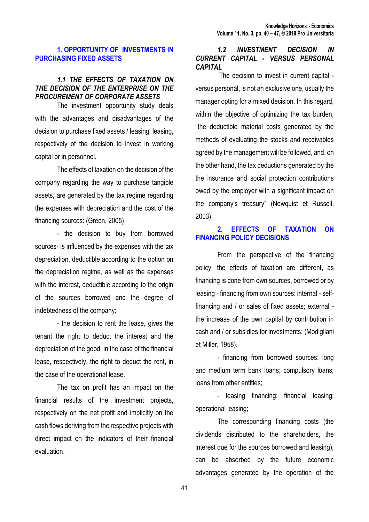## **1. OPPORTUNITY OF INVESTMENTS IN PURCHASING FIXED ASSETS**

#### *1.1 THE EFFECTS OF TAXATION ON THE DECISION OF THE ENTERPRISE ON THE PROCUREMENT OF CORPORATE ASSETS*

The investment opportunity study deals with the advantages and disadvantages of the decision to purchase fixed assets / leasing, leasing, respectively of the decision to invest in working capital or in personnel.

The effects of taxation on the decision of the company regarding the way to purchase tangible assets, are generated by the tax regime regarding the expenses with depreciation and the cost of the financing sources: (Green, 2005)

- the decision to buy from borrowed sources- is influenced by the expenses with the tax depreciation, deductible according to the option on the depreciation regime, as well as the expenses with the interest, deductible according to the origin of the sources borrowed and the degree of indebtedness of the company;

- the decision to rent the lease, gives the tenant the right to deduct the interest and the depreciation of the good, in the case of the financial lease, respectively, the right to deduct the rent, in the case of the operational lease.

The tax on profit has an impact on the financial results of the investment projects, respectively on the net profit and implicitly on the cash flows deriving from the respective projects with direct impact on the indicators of their financial evaluation.

## *1.2 INVESTMENT DECISION IN CURRENT CAPITAL - VERSUS PERSONAL CAPITAL*

The decision to invest in current capital versus personal, is not an exclusive one, usually the manager opting for a mixed decision. In this regard, within the objective of optimizing the tax burden, "the deductible material costs generated by the methods of evaluating the stocks and receivables agreed by the management will be followed, and, on the other hand, the tax deductions generated by the the insurance and social protection contributions owed by the employer with a significant impact on the company's treasury" (Newquist et Russell, 2003).

# **2. EFFECTS OF TAXATION ON FINANCING POLICY DECISIONS**

From the perspective of the financing policy, the effects of taxation are different, as financing is done from own sources, borrowed or by leasing - financing from own sources: internal - selffinancing and / or sales of fixed assets; external the increase of the own capital by contribution in cash and / or subsidies for investments: (Modigliani et Miller, 1958).

- financing from borrowed sources: long and medium term bank loans; compulsory loans; loans from other entities;

- leasing financing: financial leasing; operational leasing;

The corresponding financing costs (the dividends distributed to the shareholders, the interest due for the sources borrowed and leasing), can be absorbed by the future economic advantages generated by the operation of the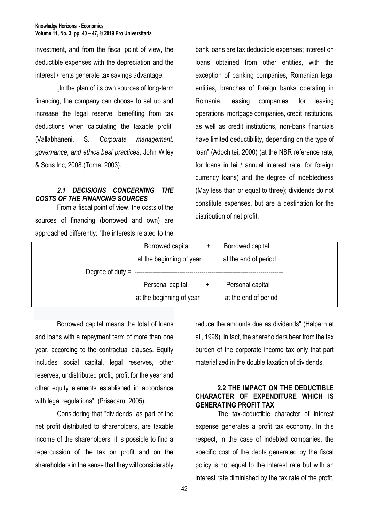investment, and from the fiscal point of view, the deductible expenses with the depreciation and the interest / rents generate tax savings advantage.

. In the plan of its own sources of long-term financing, the company can choose to set up and increase the legal reserve, benefiting from tax deductions when calculating the taxable profit" (Vallabhaneni, S. *Corporate management, governance, and ethics best practices*, John Wiley & Sons Inc; 2008.(Toma, 2003).

## *2.1 DECISIONS CONCERNING THE COSTS OF THE FINANCING SOURCES*

From a fiscal point of view, the costs of the sources of financing (borrowed and own) are approached differently: "the interests related to the bank loans are tax deductible expenses; interest on loans obtained from other entities, with the exception of banking companies, Romanian legal entities, branches of foreign banks operating in Romania, leasing companies, for leasing operations, mortgage companies, credit institutions, as well as credit institutions, non-bank financials have limited deductibility, depending on the type of loan" (Adochiței, 2000) (at the NBR reference rate, for loans in lei / annual interest rate, for foreign currency loans) and the degree of indebtedness (May less than or equal to three); dividends do not constitute expenses, but are a destination for the distribution of net profit.

| Borrowed capital<br>$+$       | Borrowed capital     |
|-------------------------------|----------------------|
| at the beginning of year      | at the end of period |
|                               |                      |
| Personal capital<br>$\ddot{}$ | Personal capital     |
| at the beginning of year      | at the end of period |
|                               |                      |

Borrowed capital means the total of loans and loans with a repayment term of more than one year, according to the contractual clauses. Equity includes social capital, legal reserves, other reserves, undistributed profit, profit for the year and other equity elements established in accordance with legal regulations". (Prisecaru, 2005).

Considering that "dividends, as part of the net profit distributed to shareholders, are taxable income of the shareholders, it is possible to find a repercussion of the tax on profit and on the shareholders in the sense that they will considerably reduce the amounts due as dividends" (Halpern et all, 1998). In fact, the shareholders bear from the tax burden of the corporate income tax only that part materialized in the double taxation of dividends.

## **2.2 THE IMPACT ON THE DEDUCTIBLE CHARACTER OF EXPENDITURE WHICH IS GENERATING PROFIT TAX**

The tax-deductible character of interest expense generates a profit tax economy. In this respect, in the case of indebted companies, the specific cost of the debts generated by the fiscal policy is not equal to the interest rate but with an interest rate diminished by the tax rate of the profit,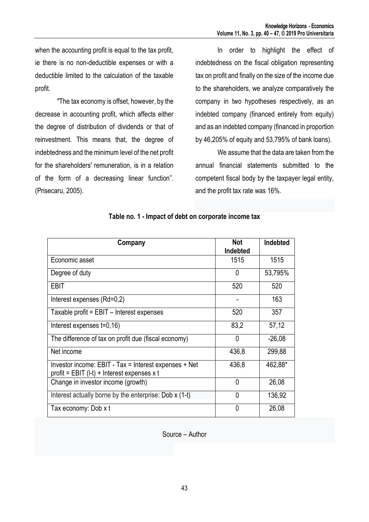when the accounting profit is equal to the tax profit, ie there is no non-deductible expenses or with a deductible limited to the calculation of the taxable profit.

"The tax economy is offset, however, by the decrease in accounting profit, which affects either the degree of distribution of dividends or that of reinvestment. This means that, the degree of indebtedness and the minimum level of the net profit for the shareholders' remuneration, is in a relation of the form of a decreasing linear function". (Prisecaru, 2005).

In order to highlight the effect of indebtedness on the fiscal obligation representing tax on profit and finally on the size of the income due to the shareholders, we analyze comparatively the company in two hypotheses respectively, as an indebted company (financed entirely from equity) and as an indebted company (financed in proportion by 46,205% of equity and 53,795% of bank loans).

We assume that the data are taken from the annual financial statements submitted to the competent fiscal body by the taxpayer legal entity, and the profit tax rate was 16%.

| Company                                                                                              | <b>Not</b><br>Indebted | Indebted |
|------------------------------------------------------------------------------------------------------|------------------------|----------|
| Economic asset                                                                                       | 1515                   | 1515     |
| Degree of duty                                                                                       | 0                      | 53,795%  |
| EBIT                                                                                                 | 520                    | 520      |
| Interest expenses (Rd=0,2)                                                                           |                        | 163      |
| Taxable profit = EBIT - Interest expenses                                                            | 520                    | 357      |
| Interest expenses t=0,16)                                                                            | 83,2                   | 57,12    |
| The difference of tax on profit due (fiscal economy)                                                 | 0                      | $-26,08$ |
| Net income                                                                                           | 436,8                  | 299,88   |
| Investor income: EBIT - Tax = Interest expenses + Net<br>profit = EBIT (I-t) + Interest expenses x t | 436,8                  | 462,88*  |
| Change in investor income (growth)                                                                   | $\Omega$               | 26,08    |
| Interest actually borne by the enterprise: Dob x (1-t)                                               | 0                      | 136,92   |
| Tax economy: Dob x t                                                                                 | 0                      | 26,08    |

## **Table no. 1 - Impact of debt on corporate income tax**

Source – Author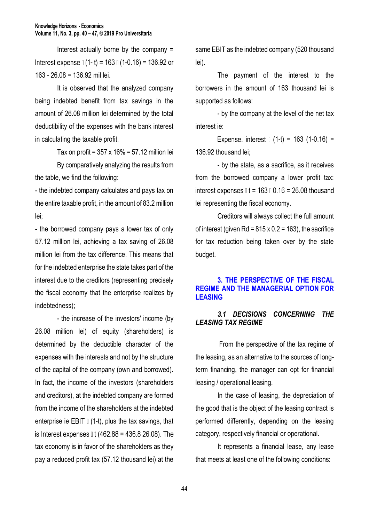Interest actually borne by the company = Interest expense  $\lfloor (1-t) \rfloor = 163 \lfloor (1-0.16) \rfloor = 136.92$  or 163 - 26.08 = 136.92 mil lei.

It is observed that the analyzed company being indebted benefit from tax savings in the amount of 26.08 million lei determined by the total deductibility of the expenses with the bank interest in calculating the taxable profit.

Tax on profit =  $357 \times 16\% = 57.12$  million lei

By comparatively analyzing the results from the table, we find the following:

- the indebted company calculates and pays tax on the entire taxable profit, in the amount of 83.2 million lei;

- the borrowed company pays a lower tax of only 57.12 million lei, achieving a tax saving of 26.08 million lei from the tax difference. This means that for the indebted enterprise the state takes part of the interest due to the creditors (representing precisely the fiscal economy that the enterprise realizes by indebtedness);

- the increase of the investors' income (by 26.08 million lei) of equity (shareholders) is determined by the deductible character of the expenses with the interests and not by the structure of the capital of the company (own and borrowed). In fact, the income of the investors (shareholders and creditors), at the indebted company are formed from the income of the shareholders at the indebted enterprise ie EBIT  $\parallel$  (1-t), plus the tax savings, that is Interest expenses  $\mathbb{I}$  t (462.88 = 436.8 26.08). The tax economy is in favor of the shareholders as they pay a reduced profit tax (57.12 thousand lei) at the

same EBIT as the indebted company (520 thousand lei).

The payment of the interest to the borrowers in the amount of 163 thousand lei is supported as follows:

- by the company at the level of the net tax interest ie:

Expense. interest  $(1-t) = 163$  (1-0.16) = 136.92 thousand lei;

- by the state, as a sacrifice, as it receives from the borrowed company a lower profit tax: interest expenses  $\mathbb{I}$  t = 163  $\mathbb{I}$  0.16 = 26.08 thousand lei representing the fiscal economy.

Creditors will always collect the full amount of interest (given Rd =  $815 \times 0.2 = 163$ ), the sacrifice for tax reduction being taken over by the state budget.

## **3. THE PERSPECTIVE OF THE FISCAL REGIME AND THE MANAGERIAL OPTION FOR LEASING**

# *3.1 DECISIONS CONCERNING THE LEASING TAX REGIME*

From the perspective of the tax regime of the leasing, as an alternative to the sources of longterm financing, the manager can opt for financial leasing / operational leasing.

In the case of leasing, the depreciation of the good that is the object of the leasing contract is performed differently, depending on the leasing category, respectively financial or operational.

It represents a financial lease, any lease that meets at least one of the following conditions: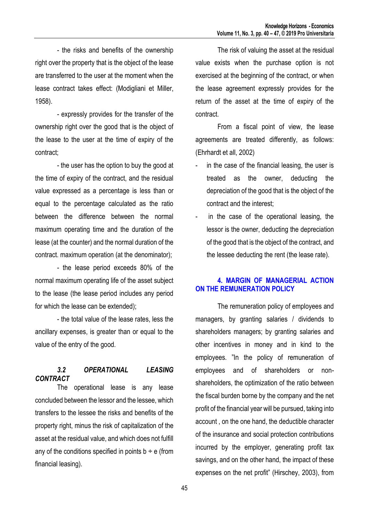- the risks and benefits of the ownership right over the property that is the object of the lease are transferred to the user at the moment when the lease contract takes effect: (Modigliani et Miller, 1958).

- expressly provides for the transfer of the ownership right over the good that is the object of the lease to the user at the time of expiry of the contract;

- the user has the option to buy the good at the time of expiry of the contract, and the residual value expressed as a percentage is less than or equal to the percentage calculated as the ratio between the difference between the normal maximum operating time and the duration of the lease (at the counter) and the normal duration of the contract. maximum operation (at the denominator);

- the lease period exceeds 80% of the normal maximum operating life of the asset subject to the lease (the lease period includes any period for which the lease can be extended);

- the total value of the lease rates, less the ancillary expenses, is greater than or equal to the value of the entry of the good.

## *3.2 OPERATIONAL LEASING CONTRACT*

The operational lease is any lease concluded between the lessor and the lessee, which transfers to the lessee the risks and benefits of the property right, minus the risk of capitalization of the asset at the residual value, and which does not fulfill any of the conditions specified in points  $b \div e$  (from financial leasing).

The risk of valuing the asset at the residual value exists when the purchase option is not exercised at the beginning of the contract, or when the lease agreement expressly provides for the return of the asset at the time of expiry of the contract.

From a fiscal point of view, the lease agreements are treated differently, as follows: (Ehrhardt et all, 2002)

- in the case of the financial leasing, the user is treated as the owner, deducting the depreciation of the good that is the object of the contract and the interest;
- in the case of the operational leasing, the lessor is the owner, deducting the depreciation of the good that is the object of the contract, and the lessee deducting the rent (the lease rate).

# **4. MARGIN OF MANAGERIAL ACTION ON THE REMUNERATION POLICY**

The remuneration policy of employees and managers, by granting salaries / dividends to shareholders managers; by granting salaries and other incentives in money and in kind to the employees. "In the policy of remuneration of employees and of shareholders or nonshareholders, the optimization of the ratio between the fiscal burden borne by the company and the net profit of the financial year will be pursued, taking into account , on the one hand, the deductible character of the insurance and social protection contributions incurred by the employer, generating profit tax savings, and on the other hand, the impact of these expenses on the net profit" (Hirschey, 2003), from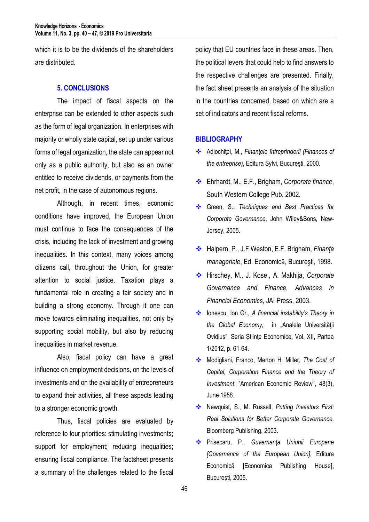which it is to be the dividends of the shareholders are distributed.

## **5. CONCLUSIONS**

The impact of fiscal aspects on the enterprise can be extended to other aspects such as the form of legal organization. In enterprises with majority or wholly state capital, set up under various forms of legal organization, the state can appear not only as a public authority, but also as an owner entitled to receive dividends, or payments from the net profit, in the case of autonomous regions.

Although, in recent times, economic conditions have improved, the European Union must continue to face the consequences of the crisis, including the lack of investment and growing inequalities. In this context, many voices among citizens call, throughout the Union, for greater attention to social justice. Taxation plays a fundamental role in creating a fair society and in building a strong economy. Through it one can move towards eliminating inequalities, not only by supporting social mobility, but also by reducing inequalities in market revenue.

Also, fiscal policy can have a great influence on employment decisions, on the levels of investments and on the availability of entrepreneurs to expand their activities, all these aspects leading to a stronger economic growth.

Thus, fiscal policies are evaluated by reference to four priorities: stimulating investments; support for employment; reducing inequalities; ensuring fiscal compliance. The factsheet presents a summary of the challenges related to the fiscal

policy that EU countries face in these areas. Then, the political levers that could help to find answers to the respective challenges are presented. Finally, the fact sheet presents an analysis of the situation in the countries concerned, based on which are a set of indicators and recent fiscal reforms.

#### **BIBLIOGRAPHY**

- Adiochiţei, M., *Finanţele întreprinderii (Finances of the entreprise)*, Editura Sylvi, Bucureşti, 2000.
- Ehrhardt, M., E.F., Brigham, *Corporate finance*, South Western College Pub, 2002.
- Green, S., *Techniques and Best Practices for Corporate Governance*, John Wiley&Sons, New-Jersey, 2005.
- Halpern, P., J.F.Weston, E.F. Brigham, *Finanţe manageriale*, Ed. Economicǎ, Bucureşti, 1998.
- Hirschey, M., J. Kose., A. Makhija, *Corporate Governance and Finance, Advances in Financial Economics*, JAI Press, 2003.
- Ionescu, Ion Gr., *A financial instability's Theory in the Global Economy,* în "Analele Universităţii Ovidius", Seria Stiinte Economice, Vol. XII, Partea 1/2012, p. 61-64.
- Modigliani, Franco, Merton H. Miller, *The Cost of Capital, Corporation Finance and the Theory of Investment*, "American Economic Review'', 48(3), June 1958.
- Newquist, S., M. Russell, *Putting Investors First: Real Solutions for Better Corporate Governance,* Bloomberg Publishing, 2003.
- Prisecaru, P., *Guvernanţa Uniunii Europene [Governance of the European Union]*, Editura Economică [Economica Publishing House], Bucureşti, 2005.